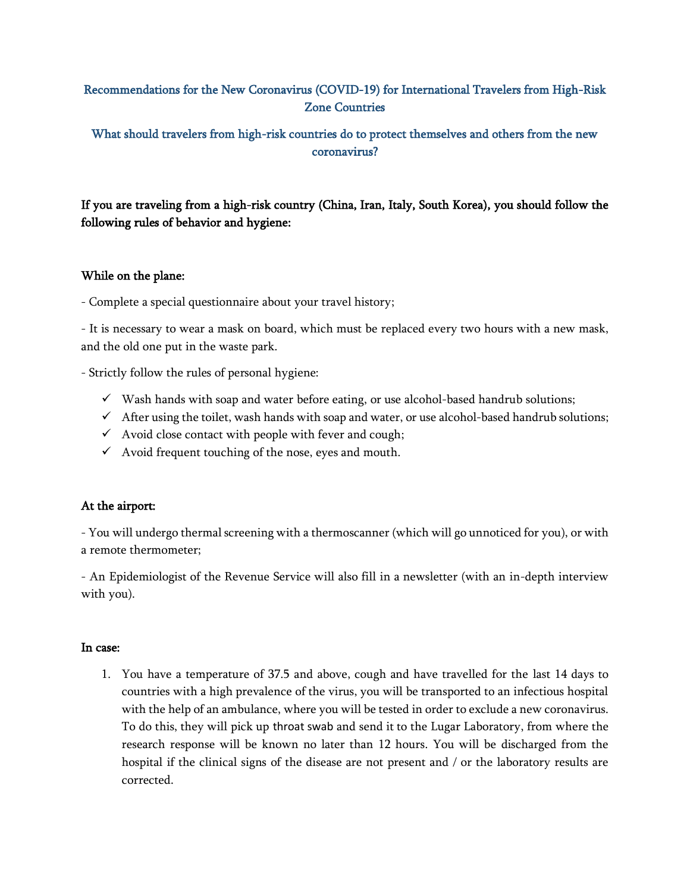## Recommendations for the New Coronavirus (COVID-19) for International Travelers from High-Risk Zone Countries

What should travelers from high-risk countries do to protect themselves and others from the new coronavirus?

If you are traveling from a high-risk country (China, Iran, Italy, South Korea), you should follow the following rules of behavior and hygiene:

### While on the plane:

- Complete a special questionnaire about your travel history;

- It is necessary to wear a mask on board, which must be replaced every two hours with a new mask, and the old one put in the waste park.

- Strictly follow the rules of personal hygiene:

- $\checkmark$  Wash hands with soap and water before eating, or use alcohol-based handrub solutions;
- $\checkmark$  After using the toilet, wash hands with soap and water, or use alcohol-based handrub solutions;
- $\checkmark$  Avoid close contact with people with fever and cough;
- $\checkmark$  Avoid frequent touching of the nose, eyes and mouth.

### At the airport:

- You will undergo thermal screening with a thermoscanner (which will go unnoticed for you), or with a remote thermometer;

- An Epidemiologist of the Revenue Service will also fill in a newsletter (with an in-depth interview with you).

### In case:

1. You have a temperature of 37.5 and above, cough and have travelled for the last 14 days to countries with a high prevalence of the virus, you will be transported to an infectious hospital with the help of an ambulance, where you will be tested in order to exclude a new coronavirus. To do this, they will pick up throat swab and send it to the Lugar Laboratory, from where the research response will be known no later than 12 hours. You will be discharged from the hospital if the clinical signs of the disease are not present and / or the laboratory results are corrected.